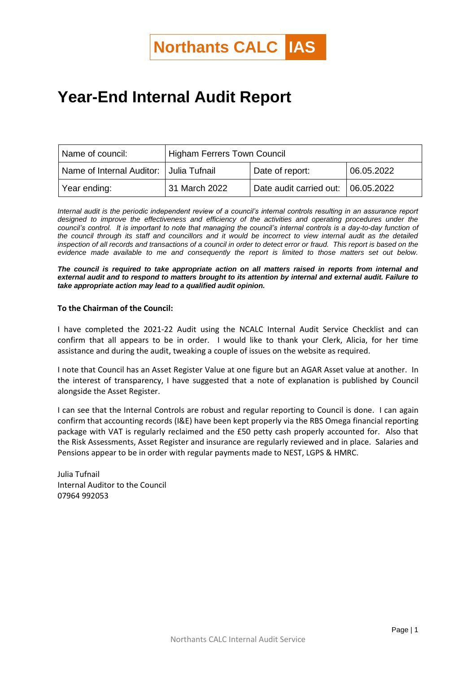## **Year-End Internal Audit Report**

| Name of council:          | <b>Higham Ferrers Town Council</b> |                                    |            |
|---------------------------|------------------------------------|------------------------------------|------------|
| Name of Internal Auditor: | ⊟Julia Tufnail                     | Date of report:                    | 06.05.2022 |
| Year ending:              | 31 March 2022                      | Date audit carried out: 06.05.2022 |            |

*Internal audit is the periodic independent review of a council's internal controls resulting in an assurance report*  designed to improve the effectiveness and efficiency of the activities and operating procedures under the *council's control. It is important to note that managing the council's internal controls is a day-to-day function of the council through its staff and councillors and it would be incorrect to view internal audit as the detailed inspection of all records and transactions of a council in order to detect error or fraud. This report is based on the evidence made available to me and consequently the report is limited to those matters set out below.* 

*The council is required to take appropriate action on all matters raised in reports from internal and external audit and to respond to matters brought to its attention by internal and external audit. Failure to take appropriate action may lead to a qualified audit opinion.*

## **To the Chairman of the Council:**

I have completed the 2021-22 Audit using the NCALC Internal Audit Service Checklist and can confirm that all appears to be in order. I would like to thank your Clerk, Alicia, for her time assistance and during the audit, tweaking a couple of issues on the website as required.

I note that Council has an Asset Register Value at one figure but an AGAR Asset value at another. In the interest of transparency, I have suggested that a note of explanation is published by Council alongside the Asset Register.

I can see that the Internal Controls are robust and regular reporting to Council is done. I can again confirm that accounting records (I&E) have been kept properly via the RBS Omega financial reporting package with VAT is regularly reclaimed and the £50 petty cash properly accounted for. Also that the Risk Assessments, Asset Register and insurance are regularly reviewed and in place. Salaries and Pensions appear to be in order with regular payments made to NEST, LGPS & HMRC.

Julia Tufnail Internal Auditor to the Council 07964 992053